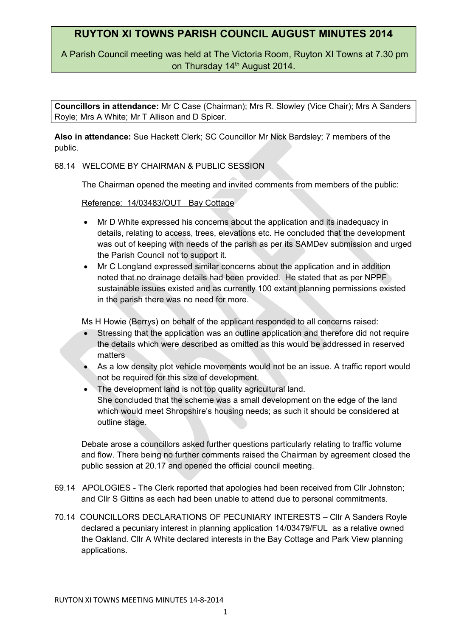# **RUYTON XI TOWNS PARISH COUNCIL AUGUST MINUTES 2014**

A Parish Council meeting was held at The Victoria Room, Ruyton XI Towns at 7.30 pm on Thursday 14<sup>th</sup> August 2014.

**Councillors in attendance:** Mr C Case (Chairman); Mrs R. Slowley (Vice Chair); Mrs A Sanders Royle; Mrs A White; Mr T Allison and D Spicer.

**Also in attendance:** Sue Hackett Clerk; SC Councillor Mr Nick Bardsley; 7 members of the public.

## 68.14 WELCOME BY CHAIRMAN & PUBLIC SESSION

The Chairman opened the meeting and invited comments from members of the public:

Reference: 14/03483/OUT Bay Cottage

- Mr D White expressed his concerns about the application and its inadequacy in details, relating to access, trees, elevations etc. He concluded that the development was out of keeping with needs of the parish as per its SAMDev submission and urged the Parish Council not to support it.
- Mr C Longland expressed similar concerns about the application and in addition noted that no drainage details had been provided. He stated that as per NPPF sustainable issues existed and as currently 100 extant planning permissions existed in the parish there was no need for more.

Ms H Howie (Berrys) on behalf of the applicant responded to all concerns raised:

- Stressing that the application was an outline application and therefore did not require the details which were described as omitted as this would be addressed in reserved matters
- As a low density plot vehicle movements would not be an issue. A traffic report would not be required for this size of development.
- The development land is not top quality agricultural land. She concluded that the scheme was a small development on the edge of the land which would meet Shropshire's housing needs; as such it should be considered at outline stage.

Debate arose a councillors asked further questions particularly relating to traffic volume and flow. There being no further comments raised the Chairman by agreement closed the public session at 20.17 and opened the official council meeting.

- 69.14 APOLOGIES The Clerk reported that apologies had been received from Cllr Johnston; and Cllr S Gittins as each had been unable to attend due to personal commitments.
- 70.14 COUNCILLORS DECLARATIONS OF PECUNIARY INTERESTS Cllr A Sanders Royle declared a pecuniary interest in planning application 14/03479/FUL as a relative owned the Oakland. Cllr A White declared interests in the Bay Cottage and Park View planning applications.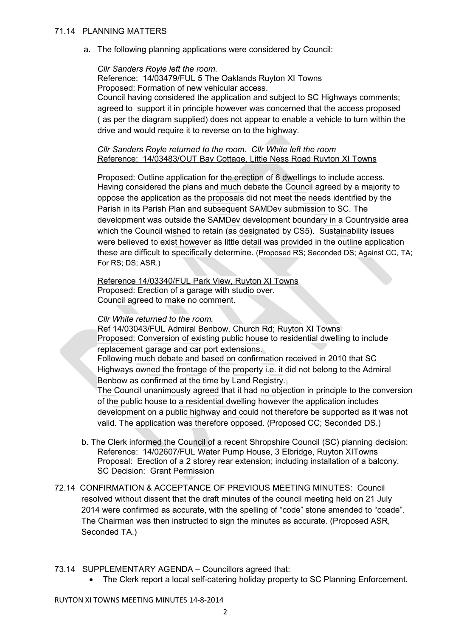### 71.14 PLANNING MATTERS

a. The following planning applications were considered by Council:

*Cllr Sanders Royle left the room.*

 Reference: 14/03479/FUL 5 The Oaklands Ruyton XI Towns Proposed: Formation of new vehicular access. Council having considered the application and subject to SC Highways comments; agreed to support it in principle however was concerned that the access proposed ( as per the diagram supplied) does not appear to enable a vehicle to turn within the drive and would require it to reverse on to the highway.

#### *Cllr Sanders Royle returned to the room. Cllr White left the room* Reference: 14/03483/OUT Bay Cottage, Little Ness Road Ruyton XI Towns

Proposed: Outline application for the erection of 6 dwellings to include access. Having considered the plans and much debate the Council agreed by a majority to oppose the application as the proposals did not meet the needs identified by the Parish in its Parish Plan and subsequent SAMDev submission to SC. The development was outside the SAMDev development boundary in a Countryside area which the Council wished to retain (as designated by CS5). Sustainability issues were believed to exist however as little detail was provided in the outline application these are difficult to specifically determine. (Proposed RS; Seconded DS; Against CC, TA; For RS; DS; ASR.)

Reference 14/03340/FUL Park View, Ruyton XI Towns Proposed: Erection of a garage with studio over. Council agreed to make no comment.

#### *Cllr White returned to the room.*

Ref 14/03043/FUL Admiral Benbow, Church Rd; Ruyton XI Towns Proposed: Conversion of existing public house to residential dwelling to include replacement garage and car port extensions.

Following much debate and based on confirmation received in 2010 that SC Highways owned the frontage of the property i.e. it did not belong to the Admiral Benbow as confirmed at the time by Land Registry.

The Council unanimously agreed that it had no objection in principle to the conversion of the public house to a residential dwelling however the application includes development on a public highway and could not therefore be supported as it was not valid. The application was therefore opposed. (Proposed CC; Seconded DS.)

- b. The Clerk informed the Council of a recent Shropshire Council (SC) planning decision: Reference: 14/02607/FUL Water Pump House, 3 Elbridge, Ruyton XITowns Proposal: Erection of a 2 storey rear extension; including installation of a balcony. SC Decision: Grant Permission
- 72.14 CONFIRMATION & ACCEPTANCE OF PREVIOUS MEETING MINUTES: Council resolved without dissent that the draft minutes of the council meeting held on 21 July 2014 were confirmed as accurate, with the spelling of "code" stone amended to "coade". The Chairman was then instructed to sign the minutes as accurate. (Proposed ASR, Seconded TA.)
- 73.14 SUPPLEMENTARY AGENDA Councillors agreed that:
	- The Clerk report a local self-catering holiday property to SC Planning Enforcement.